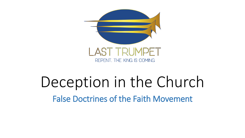

## Deception in the Church False Doctrines of the Faith Movement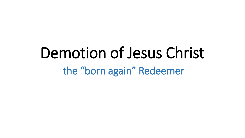## Demotion of Jesus Christ the "born again" Redeemer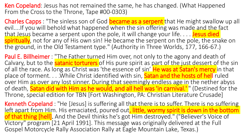Ken Copeland: Jesus has not remained the same, he has changed. (What Happened From the Cross to the Throne, Tape #00-0303)

Charles Capps : "The sinless son of God became as a serpent that He might swallow up all evil....If you will behold what happened when the sin offering was made and the fact that Jesus became a serpent upon the pole, it will change your life.... Jesus died spiritually, not for any of His own sin! He became the serpent on the pole, the snake on the ground, in the Old Testament type." (Authority in Three Worlds, 177, 166-67.)

**Paul E. Billheimer** : "The Father turned Him over, not only to the agony and death of Calvary, but to the **satanic torturers** of His pure spirit as part of the just dessert of the sin of all the race. As long as Christ was 'the essence of sin' He was at Satan's mercy in that place of torment. . . . While Christ identified with sin, **Satan and the hosts of hell** ruled over Him as over any lost sinner. During that seemingly endless age in the nether abyss of death, **Satan did with Him as he would, and all hell was 'in carnival.'** " (Destined for the Throne, special edition for TBN [Fort Washington, PA: Christian Literature Crusade]

Kenneth Copeland : "He [Jesus] is suffering all that there is to suffer. There is no suffering left apart from Him. His emaciated, poured out, little, wormy spirit is down in the bottom of that thing [hell]. And the Devil thinks he's got Him destroyed." ("Believer's Voice of Victory" program [21 April 1991]. This message was originally delivered at the Full Gospel Motorcycle Rally Association Rally at Eagle Mountain Lake, Texas.)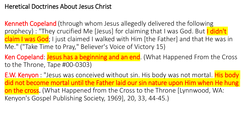#### Heretical Doctrines About Jesus Christ

Kenneth Copeland (through whom Jesus allegedly delivered the following prophecy) : "They crucified Me [Jesus] for claiming that I was God. But I didn't claim I was God; I just claimed I walked with Him [the Father] and that He was in Me." ("Take Time to Pray," Believer's Voice of Victory 15)

Ken Copeland: Jesus has a beginning and an end. (What Happened From the Cross to the Throne, Tape #00-0303)

**E.W. Kenyon** : "Jesus was conceived without sin. His body was not mortal. His body did not become mortal until the Father laid our sin nature upon Him when He hung on the cross. (What Happened from the Cross to the Throne [Lynnwood, WA: Kenyon's Gospel Publishing Society, 1969], 20, 33, 44-45.)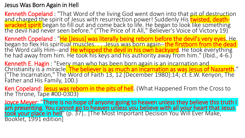#### Jesus Was Born Again in Hell

Kenneth Copeland : "That Word of the living God went down into that pit of destruction and charged the spirit of Jesus with resurrection power! Suddenly His <mark>twisted, death-</mark> wracked spirit began to fill out and come back to life. He began to look like something the devil had never seen before." ("The Price of it All," Believer's Voice of Victory 19)

Kenneth Copeland : "He [Jesus] was literally being reborn before the devil's very eyes. He began to flex His spiritual muscles. . . . Jesus was born again--the firstborn from the dead the Word calls Him--and <mark>He whipped the devil in his own backyard</mark>. He took everything he had away from him. He took his keys and his authority away from him." (Ibid., 4-6.)

Kenneth E. Hagin: "Every man who has been born again is an incarnation and Christianity is a miracle<mark>. The believer is as much an incarnation as was Jesus of Nazareth</mark>." ("The Incarnation," The Word of Faith 13, 12 [December 1980]:14; cf. E.W. Kenyon, The Father and His Family, 100.)

Ken Copeland: Jesus was reborn in the pits of hell. (What Happened From the Cross to the Throne, Tape #00-0303)

Joyce Meyer. There is no hope of anyone going to heaven unless they believe this truth I am presenting. You cannot go to heaven unless you believe with all your heart that Jesus took your place in hell" (p. 37).. [The Most Important Decision You Will Ever Make, Booklet, 1991 edition]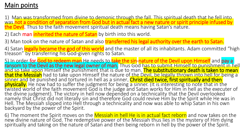## Main points

1) Man was transformed from divine to demonic through the fall. This spiritual death that he fell into was not a condition of separation from God but in actual fact a new nature or spirit principle infused by the Devil. Thus to the faith movement spiritual death means having Satan's nature.

2) Each man *inherited the nature of Satan* by birth into this world.

3) Man took on the nature of Satan and also **transferred his legal authority over the earth to Satan.** 

4) Satan legally became the god of this world and the master of all its inhabitants. Adam committed "high treason" by transferring his God-given rights to Satan.

5) In order for God to redeem man He needs to take the sin-nature of the Devil upon Himself and pay a ransom to the Devil as the new legal owner of man. Thus God has to submit Himself to punishment in hell and so take upon Himself the punishment that is due to man. The substitutionary death is taken to mean that the Messiah had to take upon Himself the nature of the Devil, be legally thrown into hell for being a sinner and be punished and tortured in hell as a sinner. Christ died twice, first spiritually and then physically. He now had to suffer the judgment for being a sinner. (It is interesting to note that in the twisted world of the faith movement God is the judge and Satan works for Him in hell as the executer of the divine judgment). The victory in hell now depended on a technicality that the Devil overlooked namely that Christ did not literally sin and therefore God could revive Him by the Spirit while He was in Hell. The Messiah slipped into Hell through a technicality and now was able to whip Satan in his own backyard by the power of the Spirit.

6) The moment the Spirit moves on the Messiah in hell He is in actual fact reborn and now takes on the new divine nature of God. The redemptive power of the Messiah thus lies in the mystery of Him dying spiritually and taking on the nature of Satan and then being reborn in hell by the power of the Spirit.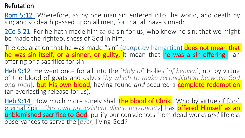### Refutation

**[Rom](verseid:45.5.12) 5:12** Wherefore, as by one man sin entered into the world, and death by sin; and so death passed upon all men, for that all have sinned:

2Co [5:21](verseid:47.5.21) For he hath made him *to be* sin for us, who knew no sin; that we might be made the righteousness of God in him.

The declaration that he was made "sin" (ἁμαρτίαν hamartian) does not mean that he was sin itself, or a sinner, or guilty, it mean that he was a sin-offering - an offering or a sacrifice for sin.

Heb [9:12](verseid:58.9.12) He went once for all into the [*Holy of*] Holies [*of heaven*], not by virtue of the blood of goats and calves [*by which to make reconciliation between God* and man], **but His own blood**, having found and secured a **complete redemption** (an everlasting release for us).

Heb [9:14](verseid:58.9.14) How much more surely shall the blood of Christ, Who by virtue of [His] eternal Spirit [*His own pre-existent divine personality*] has offered Himself as an unblemished sacrifice to God, purify our consciences from dead works *and* lifeless observances to serve the [*ever*] living God?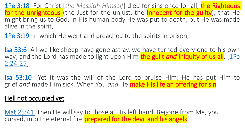1Pe [3:18](verseid:60.3.18) For Christ [*the Messiah Himself*] died for sins once for all, the Righteous for the unrighteous (the Just for the unjust, the **Innocent for the guilty**), that He might bring us to God. In His human body He was put to death, but He was made alive in the spirit,

1Pe [3:19](verseid:60.3.19) In which He went and preached to the spirits in prison,

Isa [53:6](verseid:23.53.6) All we like sheep have gone astray, we have turned every one to his own way; and the Lord has made to light upon Him **the guilt** *and* **iniquity of us all**. [1Pe [2:24-25\]](ref:1Pe.2.24-25)

Isa [53:10](verseid:23.53.10) Yet it was the will of the Lord to bruise Him; He has put Him to grief *and* made Him sick. When You *and* He make His life an offering for sin

#### [Hell not occupied yet](verseid:40.25.41)

[Mat 25:41](verseid:40.25.41) Then He will say to those at His left hand, Begone from Me, you cursed, into the eternal fire **prepared for the devil and his angels!**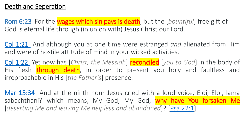[Rom 6:23](verseid:45.6.23) For the wages which sin pays is death, but the [*bountiful*] free gift of God is eternal life through (in union with) Jesus Christ our Lord.

Col [1:21](verseid:51.1.21) And although you at one time were estranged *and* alienated from Him and were of hostile attitude of mind in your wicked activities,

Col [1:22](verseid:51.1.22) Yet now has [*Christ, the Messiah*] reconciled [*you to God*] in the body of His flesh **through death**, in order to present you holy and faultless and irreproachable in His [*the Father's*] presence.

Mar [15:34](verseid:41.15.34) And at the ninth hour Jesus cried with a loud voice, Eloi, Eloi, lama sabachthani?--which means, My God, My God, why have You forsaken Me [*deserting Me and leaving Me helpless and abandoned*]? [Psa [22:1\]](ref:Psa.22.1)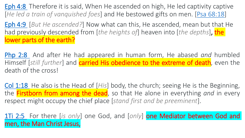[Eph 4:8](verseid:49.4.8) Therefore it is said, When He ascended on high, He led captivity captive [*He led a train of vanquished foes*] and He bestowed gifts on men. [[Psa 68:18\]](ref:Psa.68.18)

[Eph 4:9](verseid:49.4.9) [*But He ascended?*] Now what can this, He ascended, mean but that He had previously descended from [*the heights of*] heaven into [*the depths*], the lower parts of the earth?

[Php](verseid:50.2.8) 2:8 And after He had appeared in human form, He abased *and* humbled Himself [*still further*] and carried His obedience to the extreme of death, even the death of the cross!

Col [1:18](verseid:51.1.18) He also is the Head of [*His*] body, the church; seeing He is the Beginning, the Firstborn from among the dead, so that He alone in everything *and* in every respect might occupy the chief place [*stand first and be preeminent*].

1Ti [2:5](verseid:54.2.5) For there [is only] one God, and [only] **one Mediator between God and** men, the Man Christ Jesus,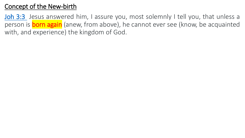## Concept of the New-birth

[Joh](verseid:43.3.3) 3:3 Jesus answered him, I assure you, most solemnly I tell you, that unless a person is **born again** (anew, from above), he cannot ever see (know, be acquainted with, and experience) the kingdom of God.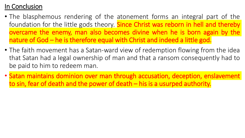## In Conclusion

- The blasphemous rendering of the atonement forms an integral part of the foundation for the little gods theory. **Since Christ was reborn in hell and thereby** overcame the enemy, man also becomes divine when he is born again by the nature of God – he is therefore equal with Christ and indeed a little god.
- The faith movement has a Satan-ward view of redemption flowing from the idea that Satan had a legal ownership of man and that a ransom consequently had to be paid to him to redeem man.
- Satan maintains dominion over man through accusation, deception, enslavement to sin, fear of death and the power of death – his is a usurped authority.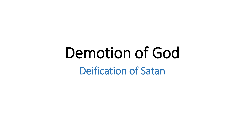# Demotion of God

Deification of Satan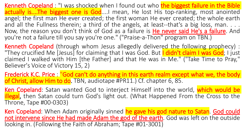Kenneth Copeland : "I was shocked when I found out who the biggest failure in the Bible actually is....The biggest one is God....I mean, He lost His top-ranking, most anointed angel; the first man He ever created; the first woman He ever created; the whole earth and all the Fullness therein; a third of the angels, at least--that's a big loss, man. . . . Now, the reason you don't think of God as a failure is **He never said He's a failure**. And you're not a failure till you say you're one." ("Praise-a-Thon" program on TBN.)

Kenneth Copeland (through whom Jesus allegedly delivered the following prophecy) : "They crucified Me [Jesus] for claiming that I was God. But I didn't claim I was God; I just claimed I walked with Him [the Father] and that He was in Me." ("Take Time to Pray," Believer's Voice of Victory 15, 2)

Frederick K.C. Price : "God can't do anything in this earth realm except what we, the body of Christ, allow Him to do. TBN, audiotape #PR11.) Cf. chapter 6, 85.

Ken Copeland: Satan wanted God to interject Himself into the world, which would be illegal, then Satan could turn God's light out. (What Happened From the Cross to the Throne, Tape #00-0303)

Ken Copeland: When Adam originally sinned he gave his god nature to Satan. God could not intervene since He had made Adam the god of the earth. God was left on the outside looking in. (Following the Faith of Abraham; Tape #01-3001)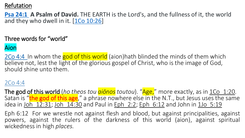#### Refutation

**[Psa 24:1](verseid:19.24.1) A Psalm of David.** THE EARTH is the Lord's, and the fullness of it, the world and they who dwell in it. [[1Co 10:26](ref:1Co.10.26)]

#### Three words for "world"

#### Aion

2Co 4:4 In whom the god of this world (aion)hath blinded the minds of them which believe not, lest the light of the glorious gospel of Christ, who is the image of God, should shine unto them.

#### 2Co 4:4

The god of this world (*ho theos tou aionos toutou*). "Age," more exactly, as in 1Co 1:20. Satan is "the god of this age," a phrase nowhere else in the N.T., but Jesus uses the same idea in Joh  $12:31$ ; Joh  $14:30$  and Paul in Eph  $2:2$ ; Eph  $6:12$  and John in 1Jo  $5:19$ 

Eph 6:12 For we wrestle not against flesh and blood, but against principalities, against powers, against the rulers of the darkness of this world (aion), against spiritual wickedness in high *places.*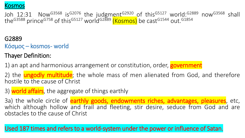

Joh 12:31 Now<sup>G3568</sup> is<sup>G2076</sup> the judgment<sup>G2920</sup> of this<sup>G5127</sup> world:<sup>G2889</sup> now<sup>G3568</sup> shall the<sup>G3588</sup> prince<sup>G758</sup> of this<sup>G5127</sup> world<sup>G2889</sup> <mark>(Kosmos)</mark> be cast<sup>G1544</sup> out.<sup>G1854</sup>

G2889

Κόσμος – kosmos- world

Thayer Definition:

1) an apt and harmonious arrangement or constitution, order, **government** 

2) the **ungodly multitude**; the whole mass of men alienated from God, and therefore hostile to the cause of Christ

3) world affairs, the aggregate of things earthly

3a) the whole circle of **earthly goods, endowments riches, advantages, pleasures**, etc, which although hollow and frail and fleeting, stir desire, seduce from God and are obstacles to the cause of Christ

Used 187 times and refers to a world-system under the power or influence of Satan.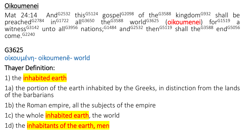### Oikoumenei

Mat 24:14 And<sup>G2532</sup> this<sup>G5124</sup> gospel<sup>G2098</sup> of the<sup>G3588</sup> kingdom<sup>G932</sup> shall be preached<sup>G2784</sup> in<sup>G1722</sup> all<sup>G3650</sup> the<sup>G3588</sup> world<sup>G3625</sup> (oikoumenei) for<sup>G1519</sup> a witness<sup>G3142</sup> unto all<sup>G3956</sup> nations;<sup>G1484</sup> and<sup>G2532</sup> then<sup>G5119</sup> shall the<sup>G3588</sup> end<sup>G5056</sup> come. G2240

#### G3625

## οἰκουμένη- oikoumenē- world

- Thayer Definition:
- 1) the *inhabited earth*
- 1a) the portion of the earth inhabited by the Greeks, in distinction from the lands of the barbarians
- 1b) the Roman empire, all the subjects of the empire
- 1c) the whole *inhabited earth*, the world

1d) the *inhabitants of the earth*, men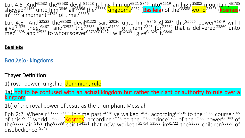Luk 4:5 And<sup>G2532</sup> the<sup>G3588</sup> devil, G1228 taking him up<sup>G321 G846</sup> into G1519 an high<sup>G5308</sup> mountain, G3735 shewed<sup>G1166</sup> unto him<sup>G846</sup> all<sup>G3956</sup> the<sup>G3588</sup> llingdoms<sup>G932</sup> (Basileia) of the<sup>G3588</sup> world<sup>G3625</sup> (kosmos) in<sup>G1722</sup> a moment<sup>G4743</sup> of time. G5550

Luk 4:6 And<sup>G2532</sup> the<sup>G3588</sup> devil<sup>G1228</sup> said<sup>G2036</sup> unto him, G846 All<sup>G537</sup> this G5026 power<sup>G1849</sup> will I give<sup>G1325</sup> thee, <sup>G4671</sup> and<sup>G2532</sup> the<sup>G3588</sup> glory<sup>G1391</sup> of them: G846 for G3754 that is delivered G3860 unto me;<sup>G1698</sup> and<sup>G2532</sup> to whomsoever<sup>G3739G1437</sup> I will<sup>G2309</sup> I give<sup>G1325</sup> it.<sup>G846</sup>

#### **Basileia**

Βασιλεία- kingdoms

#### Thayer Definition:

1) royal power, kingship, dominion, rule

1a) not to be confused with an actual kingdom but rather the right or authority to rule over a kingdom

1b) of the royal power of Jesus as the triumphant Messiah

Eph 2:2 Wherein<sup>G1722 G3739</sup> in time past<sup>G4218</sup> ye walked<sup>G4043</sup> according<sup>G2596</sup> to the<sup>G3588</sup> course<sup>G165</sup> of this<sup>G5127</sup> world, <sup>G2889</sup> (Kosmos) according<sup>G2596</sup> to the<sup>G3588</sup> prince<sup>G758</sup> of the<sup>G3588</sup> power<sup>G1849</sup> of the<sup>G3588</sup> air,<sup>G109</sup> the<sup>G3588</sup> spirit<sup>G4151</sup> that now worketh<sup>G1754 G3568</sup> in<sup>G1722</sup> the<sup>G3588</sup> children<sup>G5207</sup> of disobedience: G543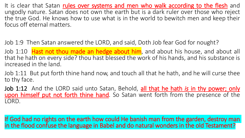It is clear that Satan rules over systems and men who walk according to the flesh and ungodly nature. Satan does not own the earth but is a dark ruler over those who reject the true God. He knows how to use what is in the world to bewitch men and keep their focus off eternal matters.

Job 1:9 Then Satan answered the LORD, and said, Doth Job fear God for nought?

Job 1:10 Hast not thou made an hedge about him, and about his house, and about all that he hath on every side? thou hast blessed the work of his hands, and his substance is increased in the land.

Job 1:11 But put forth thine hand now, and touch all that he hath, and he will curse thee to thy face.

Job 1:12 And the LORD said unto Satan, Behold, all that he hath *is* in thy power; only upon himself put not forth thine hand. So Satan went forth from the presence of the LORD.

If God had no rights on the earth how could He banish man from the garden, destroy man in the flood confuse the language in Babel and do natural wonders in the old Testament?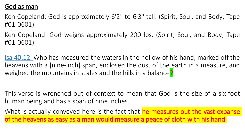#### God as man

Ken Copeland: God is approximately 6'2" to 6'3" tall. (Spirit, Soul, and Body; Tape #01-0601)

Ken Copeland: God weighs approximately 200 lbs. (Spirit, Soul, and Body; Tape #01-0601)

Isa 40:12 Who has measured the waters in the hollow of his hand, marked off the heavens with a [nine-inch] span, enclosed the dust of the earth in a measure, and weighed the mountains in scales and the hills in a balance?

This verse is wrenched out of context to mean that God is the size of a six foot human being and has a span of nine inches.

What is actually conveyed here is the fact that he measures out the vast expanse of the heavens as easy as a man would measure a peace of cloth with his hand.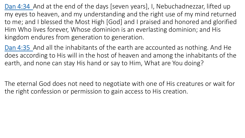Dan 4:34 And at the end of the days [seven years], I, Nebuchadnezzar, lifted up my eyes to heaven, and my understanding and the right use of my mind returned to me; and I blessed the Most High [God] and I praised and honored and glorified Him Who lives forever, Whose dominion is an everlasting dominion; and His kingdom endures from generation to generation.

Dan 4:35 And all the inhabitants of the earth are accounted as nothing. And He does according to His will in the host of heaven and among the inhabitants of the earth, and none can stay His hand or say to Him, What are You doing?

The eternal God does not need to negotiate with one of His creatures or wait for the right confession or permission to gain access to His creation.